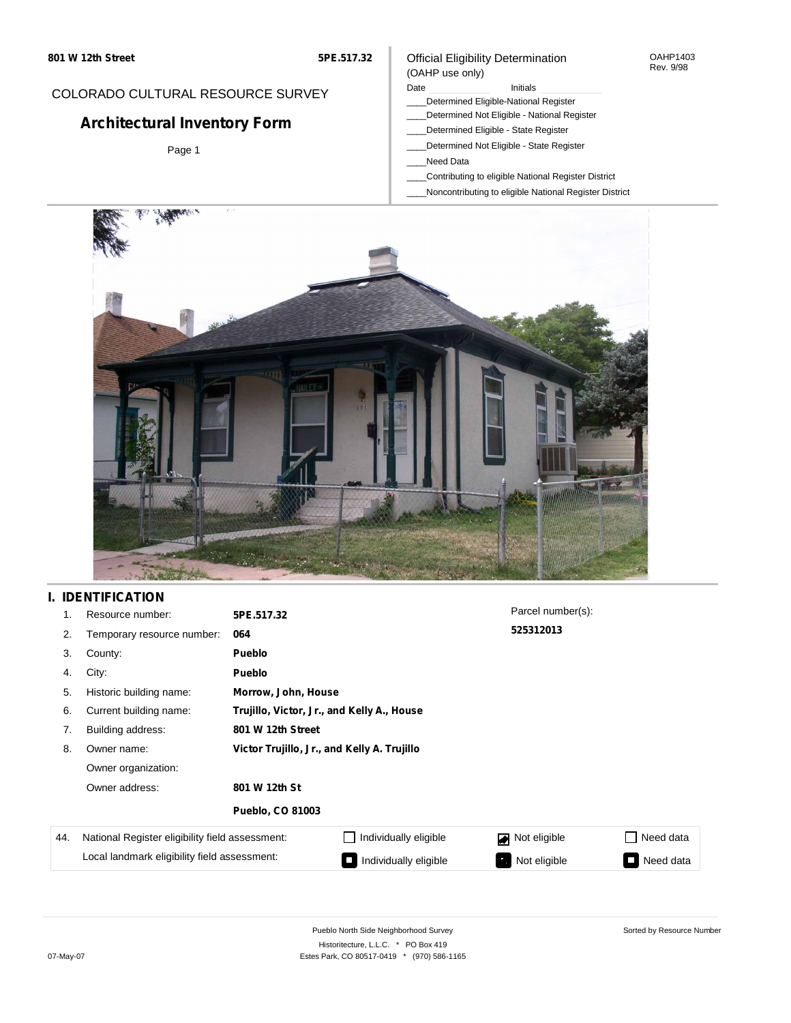#### OAHP1403 Rev. 9/98

## COLORADO CULTURAL RESOURCE SURVEY

# **Architectural Inventory Form**

Page 1

### (OAHP use only) Date **Initials** Initials

Official Eligibility Determination

- \_\_\_\_Determined Eligible-National Register
- \_\_\_\_Determined Not Eligible National Register
- \_\_\_\_Determined Eligible State Register
- \_\_\_\_Determined Not Eligible State Register
- \_\_\_\_Need Data
- \_\_\_\_Contributing to eligible National Register District
- \_\_\_\_Noncontributing to eligible National Register District



## **I. IDENTIFICATION**

| 1.  | Resource number:                                | 5PE.517.32                                  |                       | Parcel number(s): |                               |  |
|-----|-------------------------------------------------|---------------------------------------------|-----------------------|-------------------|-------------------------------|--|
| 2.  | Temporary resource number:                      | 064                                         |                       | 525312013         |                               |  |
| 3.  | County:                                         | <b>Pueblo</b>                               |                       |                   |                               |  |
| 4.  | City:                                           | <b>Pueblo</b>                               |                       |                   |                               |  |
| 5.  | Historic building name:                         |                                             | Morrow, John, House   |                   |                               |  |
| 6.  | Current building name:                          | Trujillo, Victor, Jr., and Kelly A., House  |                       |                   |                               |  |
| 7.  | Building address:                               | 801 W 12th Street                           |                       |                   |                               |  |
| 8.  | Owner name:                                     | Victor Trujillo, Jr., and Kelly A. Trujillo |                       |                   |                               |  |
|     | Owner organization:                             |                                             |                       |                   |                               |  |
|     | Owner address:                                  | 801 W 12th St                               |                       |                   |                               |  |
|     |                                                 | <b>Pueblo, CO 81003</b>                     |                       |                   |                               |  |
| 44. | National Register eligibility field assessment: |                                             | Individually eligible | Not eligible<br>◪ | Need data                     |  |
|     | Local landmark eligibility field assessment:    |                                             | Individually eligible | Not eligible      | Need data<br><b>The State</b> |  |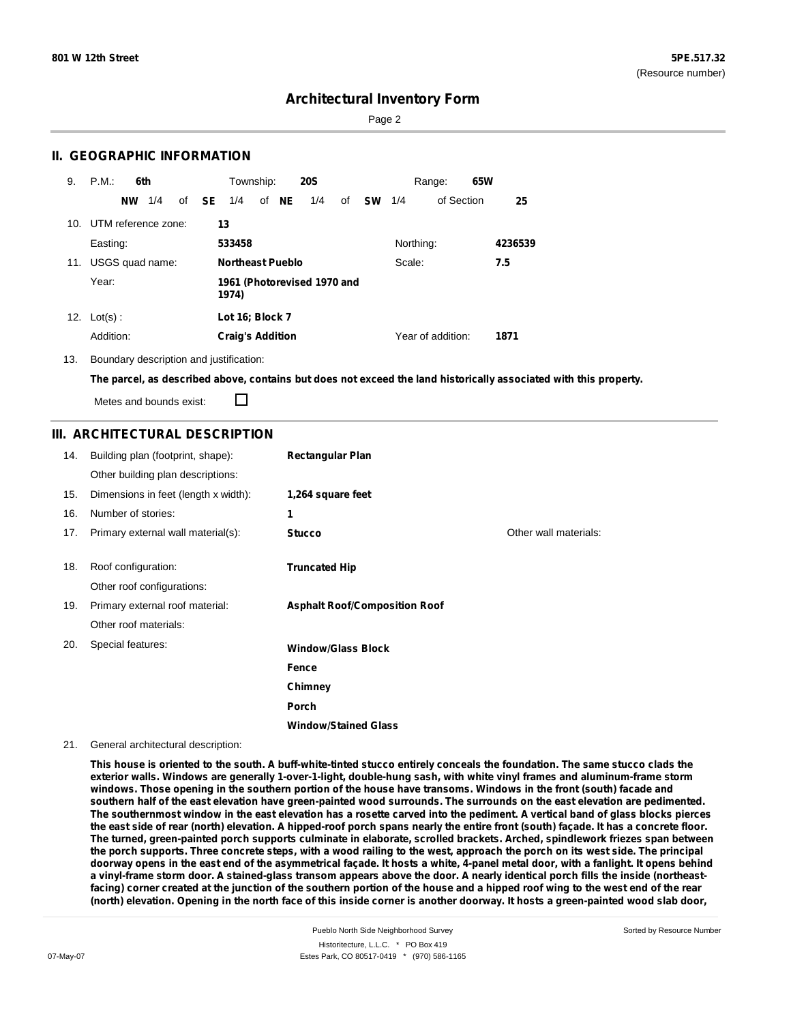Page 2

## **II. GEOGRAPHIC INFORMATION**

| 9.  | P.M.<br>6th         | Township:<br><b>20S</b>              |                 | 65W<br>Range:     |         |
|-----|---------------------|--------------------------------------|-----------------|-------------------|---------|
|     | 1/4<br><b>NW</b>    | of NE<br>of <b>SE</b><br>1/4<br>1/4  | of<br><b>SW</b> | of Section<br>1/4 | 25      |
| 10. | UTM reference zone: | 13                                   |                 |                   |         |
|     | Easting:            | 533458                               |                 | Northing:         | 4236539 |
| 11. | USGS quad name:     | <b>Northeast Pueblo</b>              |                 | Scale:            | 7.5     |
|     | Year:               | 1961 (Photorevised 1970 and<br>1974) |                 |                   |         |
| 12. | $Lot(s)$ :          | Lot 16; Block 7                      |                 |                   |         |
|     | Addition:           | <b>Craig's Addition</b>              |                 | Year of addition: | 1871    |

13. Boundary description and justification:

The parcel, as described above, contains but does not exceed the land historically associated with this property.

Metes and bounds exist:

П

## **III. ARCHITECTURAL DESCRIPTION**

| 14. | Building plan (footprint, shape):    | <b>Rectangular Plan</b>              |                       |
|-----|--------------------------------------|--------------------------------------|-----------------------|
|     | Other building plan descriptions:    |                                      |                       |
| 15. | Dimensions in feet (length x width): | 1,264 square feet                    |                       |
| 16. | Number of stories:                   | 1                                    |                       |
| 17. | Primary external wall material(s):   | <b>Stucco</b>                        | Other wall materials: |
|     |                                      |                                      |                       |
| 18. | Roof configuration:                  | <b>Truncated Hip</b>                 |                       |
|     | Other roof configurations:           |                                      |                       |
| 19. | Primary external roof material:      | <b>Asphalt Roof/Composition Roof</b> |                       |
|     | Other roof materials:                |                                      |                       |
| 20. | Special features:                    | <b>Window/Glass Block</b>            |                       |
|     |                                      | Fence                                |                       |
|     |                                      | Chimney                              |                       |
|     |                                      | Porch                                |                       |
|     |                                      | <b>Window/Stained Glass</b>          |                       |

#### 21. General architectural description:

This house is oriented to the south. A buff-white-tinted stucco entirely conceals the foundation. The same stucco clads the exterior walls. Windows are generally 1-over-1-light, double-hung sash, with white vinyl frames and aluminum-frame storm windows. Those opening in the southern portion of the house have transoms. Windows in the front (south) facade and southern half of the east elevation have green-painted wood surrounds. The surrounds on the east elevation are pedimented. The southernmost window in the east elevation has a rosette carved into the pediment. A vertical band of glass blocks pierces the east side of rear (north) elevation. A hipped-roof porch spans nearly the entire front (south) façade. It has a concrete floor. The turned, green-painted porch supports culminate in elaborate, scrolled brackets. Arched, spindlework friezes span between the porch supports. Three concrete steps, with a wood railing to the west, approach the porch on its west side. The principal doorway opens in the east end of the asymmetrical façade. It hosts a white, 4-panel metal door, with a fanlight. It opens behind a vinyl-frame storm door. A stained-glass transom appears above the door. A nearly identical porch fills the inside (northeastfacing) corner created at the junction of the southern portion of the house and a hipped roof wing to the west end of the rear (north) elevation. Opening in the north face of this inside corner is another doorway. It hosts a green-painted wood slab door,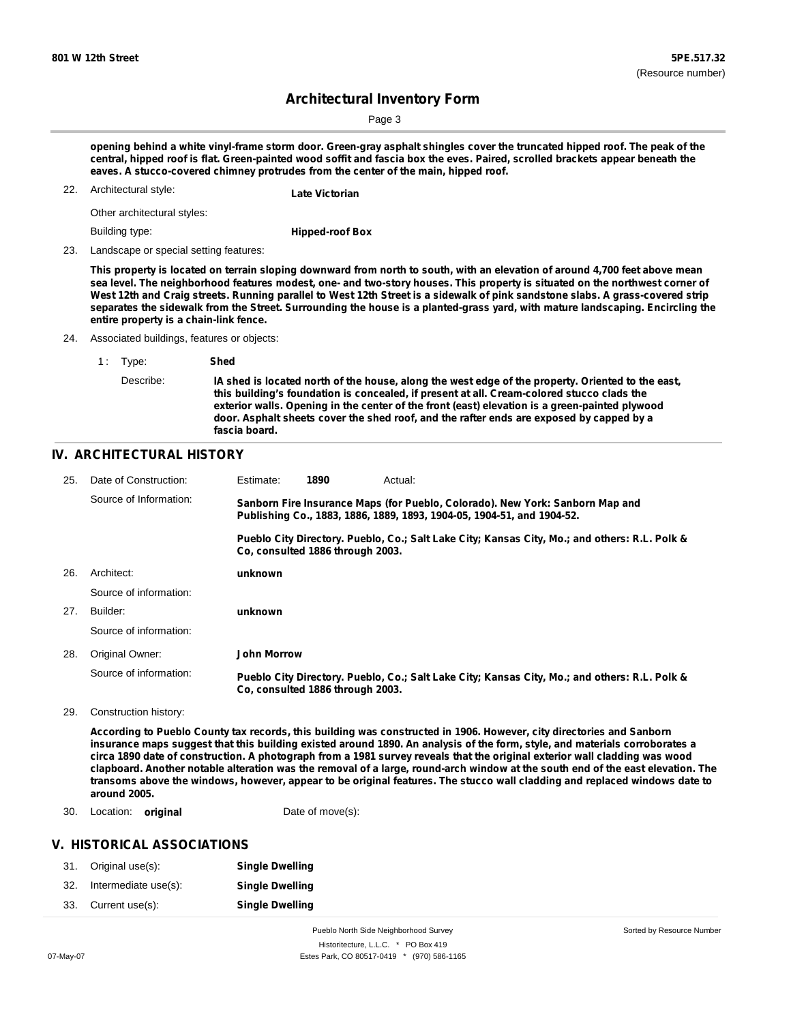Sorted by Resource Number

## **Architectural Inventory Form**

Page 3

opening behind a white vinyl-frame storm door. Green-gray asphalt shingles cover the truncated hipped roof. The peak of the central, hipped roof is flat. Green-painted wood soffit and fascia box the eves. Paired, scrolled brackets appear beneath the **eaves. A stucco-covered chimney protrudes from the center of the main, hipped roof.**

22. Architectural style: **Late Victorian**

Other architectural styles:

Building type:

**Hipped-roof Box**

23. Landscape or special setting features:

This property is located on terrain sloping downward from north to south, with an elevation of around 4,700 feet above mean sea level. The neighborhood features modest, one- and two-story houses. This property is situated on the northwest corner of West 12th and Craig streets. Running parallel to West 12th Street is a sidewalk of pink sandstone slabs. A grass-covered strip separates the sidewalk from the Street. Surrounding the house is a planted-grass yard, with mature landscaping. Encircling the **entire property is a chain-link fence.**

24. Associated buildings, features or objects:

| 1 Type:   | Shed                                                                                                                                                                                                                                                                                                                                                                                                           |
|-----------|----------------------------------------------------------------------------------------------------------------------------------------------------------------------------------------------------------------------------------------------------------------------------------------------------------------------------------------------------------------------------------------------------------------|
| Describe: | IA shed is located north of the house, along the west edge of the property. Oriented to the east,<br>this building's foundation is concealed, if present at all. Cream-colored stucco clads the<br>exterior walls. Opening in the center of the front (east) elevation is a green-painted plywood<br>door. Asphalt sheets cover the shed roof, and the rafter ends are exposed by capped by a<br>fascia board. |

### **IV. ARCHITECTURAL HISTORY**

| 25. | Date of Construction:  | Estimate:                                                                                                                                               | 1890                             | Actual:                                                                                       |
|-----|------------------------|---------------------------------------------------------------------------------------------------------------------------------------------------------|----------------------------------|-----------------------------------------------------------------------------------------------|
|     | Source of Information: | Sanborn Fire Insurance Maps (for Pueblo, Colorado). New York: Sanborn Map and<br>Publishing Co., 1883, 1886, 1889, 1893, 1904-05, 1904-51, and 1904-52. |                                  |                                                                                               |
|     |                        |                                                                                                                                                         | Co. consulted 1886 through 2003. | Pueblo City Directory. Pueblo, Co.; Salt Lake City; Kansas City, Mo.; and others: R.L. Polk & |
| 26. | Architect:             | unknown                                                                                                                                                 |                                  |                                                                                               |
|     | Source of information: |                                                                                                                                                         |                                  |                                                                                               |
| 27. | Builder:               | unknown                                                                                                                                                 |                                  |                                                                                               |
|     | Source of information: |                                                                                                                                                         |                                  |                                                                                               |
| 28. | Original Owner:        | <b>John Morrow</b>                                                                                                                                      |                                  |                                                                                               |
|     | Source of information: |                                                                                                                                                         | Co. consulted 1886 through 2003. | Pueblo City Directory. Pueblo, Co.; Salt Lake City; Kansas City, Mo.; and others: R.L. Polk & |
| 29. | Construction history:  |                                                                                                                                                         |                                  |                                                                                               |

According to Pueblo County tax records, this building was constructed in 1906. However, city directories and Sanborn insurance maps suggest that this building existed around 1890. An analysis of the form, style, and materials corroborates a circa 1890 date of construction. A photograph from a 1981 survey reveals that the original exterior wall cladding was wood clapboard. Another notable alteration was the removal of a large, round-arch window at the south end of the east elevation. The transoms above the windows, however, appear to be original features. The stucco wall cladding and replaced windows date to **around 2005.**

30. Location: **original** Date of move(s):

### **V. HISTORICAL ASSOCIATIONS**

|     | 31. Original use(s): | <b>Single Dwelling</b> |
|-----|----------------------|------------------------|
| 32. | Intermediate use(s): | <b>Single Dwelling</b> |
| 33. | Current use(s):      | <b>Single Dwelling</b> |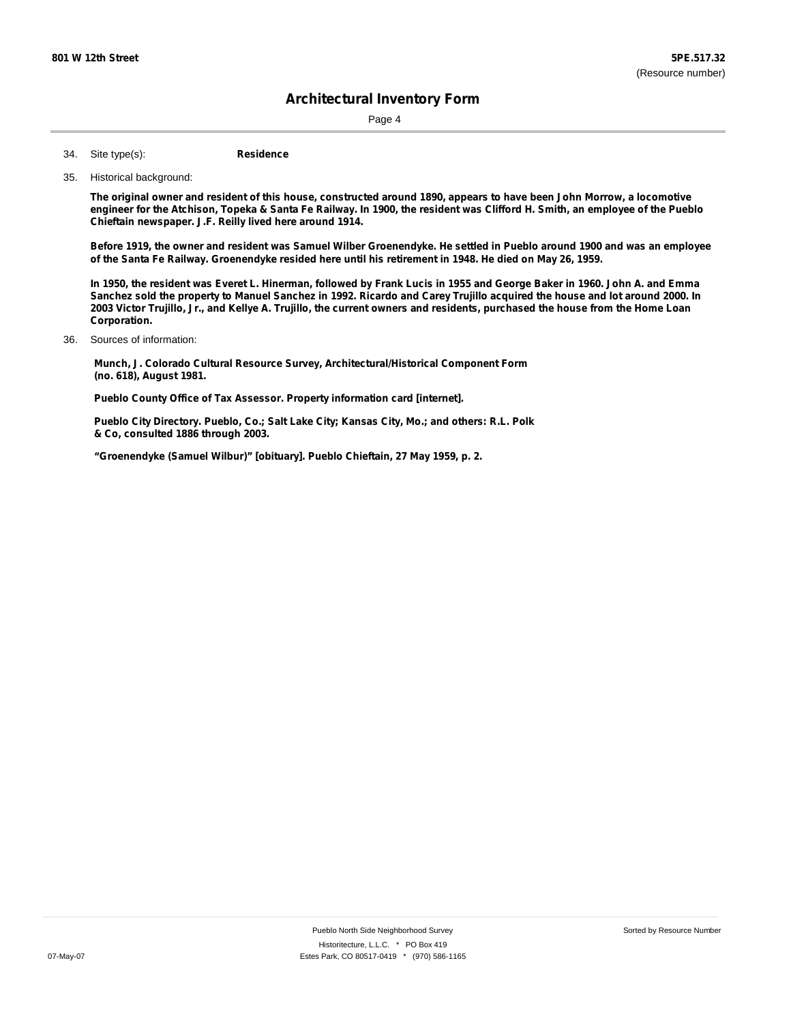Page 4

**Residence** Site type(s): 34.

#### 35. Historical background:

The original owner and resident of this house, constructed around 1890, appears to have been John Morrow, a locomotive engineer for the Atchison, Topeka & Santa Fe Railway. In 1900, the resident was Clifford H. Smith, an employee of the Pueblo **Chieftain newspaper. J.F. Reilly lived here around 1914.**

Before 1919, the owner and resident was Samuel Wilber Groenendyke. He settled in Pueblo around 1900 and was an employee of the Santa Fe Railway. Groenendyke resided here until his retirement in 1948. He died on May 26, 1959.

In 1950, the resident was Everet L. Hinerman, followed by Frank Lucis in 1955 and George Baker in 1960. John A. and Emma Sanchez sold the property to Manuel Sanchez in 1992. Ricardo and Carey Trujillo acquired the house and lot around 2000. In 2003 Victor Trujillo, Jr., and Kellye A. Trujillo, the current owners and residents, purchased the house from the Home Loan **Corporation.**

#### Sources of information: 36.

**Munch, J. Colorado Cultural Resource Survey, Architectural/Historical Component Form (no. 618), August 1981.**

**Pueblo County Office of Tax Assessor. Property information card [internet].**

**Pueblo City Directory. Pueblo, Co.; Salt Lake City; Kansas City, Mo.; and others: R.L. Polk & Co, consulted 1886 through 2003.**

**"Groenendyke (Samuel Wilbur)" [obituary]. Pueblo Chieftain, 27 May 1959, p. 2.**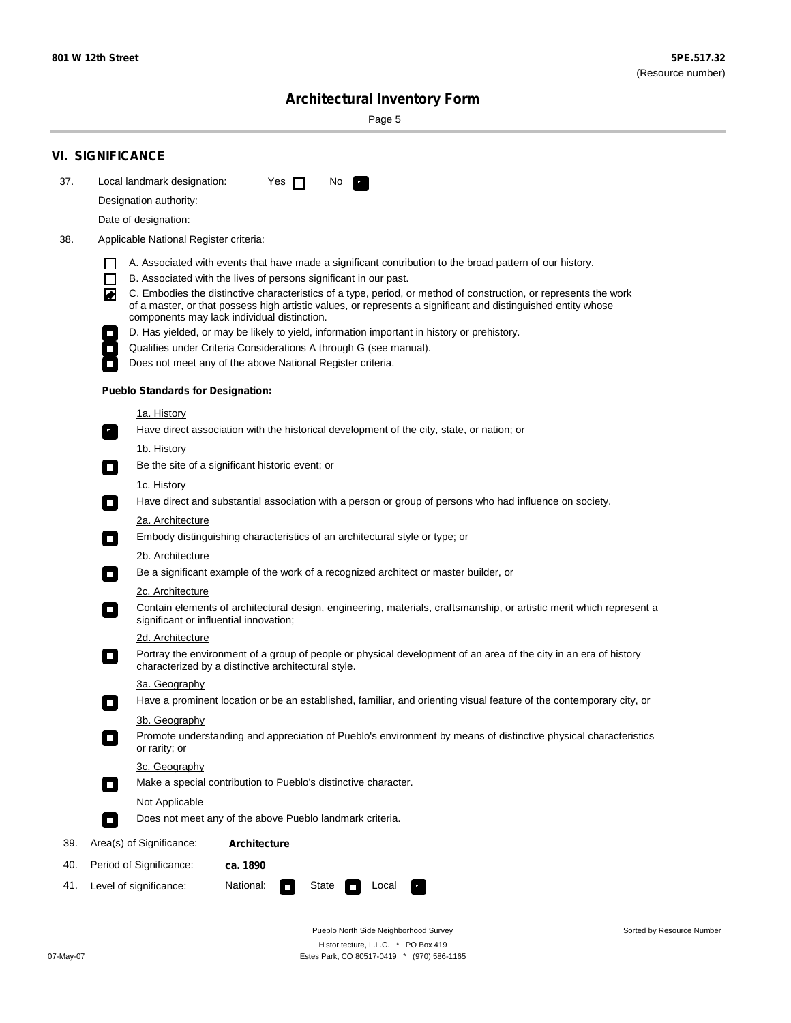÷

Sorted by Resource Number

# **Architectural Inventory Form**

Page 5

|     | <b>VI. SIGNIFICANCE</b>                                                                                                                                                           |  |  |  |  |
|-----|-----------------------------------------------------------------------------------------------------------------------------------------------------------------------------------|--|--|--|--|
| 37. | Local landmark designation:<br>Yes $\Box$<br>No.<br>$\mathbf{F}$                                                                                                                  |  |  |  |  |
|     | Designation authority:                                                                                                                                                            |  |  |  |  |
|     | Date of designation:                                                                                                                                                              |  |  |  |  |
| 38. | Applicable National Register criteria:                                                                                                                                            |  |  |  |  |
|     |                                                                                                                                                                                   |  |  |  |  |
|     | A. Associated with events that have made a significant contribution to the broad pattern of our history.<br>П<br>B. Associated with the lives of persons significant in our past. |  |  |  |  |
|     | C. Embodies the distinctive characteristics of a type, period, or method of construction, or represents the work<br>◙                                                             |  |  |  |  |
|     | of a master, or that possess high artistic values, or represents a significant and distinguished entity whose<br>components may lack individual distinction.                      |  |  |  |  |
|     | D. Has yielded, or may be likely to yield, information important in history or prehistory.<br>$\mathcal{L}_{\mathcal{A}}$                                                         |  |  |  |  |
|     | Qualifies under Criteria Considerations A through G (see manual).<br>$\mathcal{L}_{\mathcal{A}}$                                                                                  |  |  |  |  |
|     | Does not meet any of the above National Register criteria.<br>$\overline{\phantom{a}}$                                                                                            |  |  |  |  |
|     | <b>Pueblo Standards for Designation:</b>                                                                                                                                          |  |  |  |  |
|     | <u>1a. History</u>                                                                                                                                                                |  |  |  |  |
|     | Have direct association with the historical development of the city, state, or nation; or<br>$\mathcal{F}_1$                                                                      |  |  |  |  |
|     | 1b. History                                                                                                                                                                       |  |  |  |  |
|     | Be the site of a significant historic event; or<br>$\sim$                                                                                                                         |  |  |  |  |
|     | 1c. History                                                                                                                                                                       |  |  |  |  |
|     | Have direct and substantial association with a person or group of persons who had influence on society.<br>$\overline{\phantom{a}}$                                               |  |  |  |  |
|     | 2a. Architecture<br>Embody distinguishing characteristics of an architectural style or type; or                                                                                   |  |  |  |  |
|     | О                                                                                                                                                                                 |  |  |  |  |
|     | <u>2b. Architecture</u><br>Be a significant example of the work of a recognized architect or master builder, or<br>$\mathcal{L}_{\mathcal{A}}$                                    |  |  |  |  |
|     | 2c. Architecture                                                                                                                                                                  |  |  |  |  |
|     | Contain elements of architectural design, engineering, materials, craftsmanship, or artistic merit which represent a<br>$\blacksquare$<br>significant or influential innovation;  |  |  |  |  |
|     | 2d. Architecture                                                                                                                                                                  |  |  |  |  |
|     | Portray the environment of a group of people or physical development of an area of the city in an era of history<br>$\Box$<br>characterized by a distinctive architectural style. |  |  |  |  |
|     | 3a. Geography                                                                                                                                                                     |  |  |  |  |
|     | Have a prominent location or be an established, familiar, and orienting visual feature of the contemporary city, or                                                               |  |  |  |  |
|     | 3b. Geography                                                                                                                                                                     |  |  |  |  |
|     | Promote understanding and appreciation of Pueblo's environment by means of distinctive physical characteristics<br>I.<br>or rarity; or                                            |  |  |  |  |
|     | 3c. Geography                                                                                                                                                                     |  |  |  |  |
|     | Make a special contribution to Pueblo's distinctive character.<br>$\mathcal{L}_{\mathcal{A}}$                                                                                     |  |  |  |  |
|     | Not Applicable                                                                                                                                                                    |  |  |  |  |
|     | Does not meet any of the above Pueblo landmark criteria.<br>$\Box$                                                                                                                |  |  |  |  |
| 39. | Area(s) of Significance:<br><b>Architecture</b>                                                                                                                                   |  |  |  |  |
| 40. | Period of Significance:<br>ca. 1890                                                                                                                                               |  |  |  |  |
| 41. | National:<br>Level of significance:<br>State<br>Local<br>κ,<br>$\sim$                                                                                                             |  |  |  |  |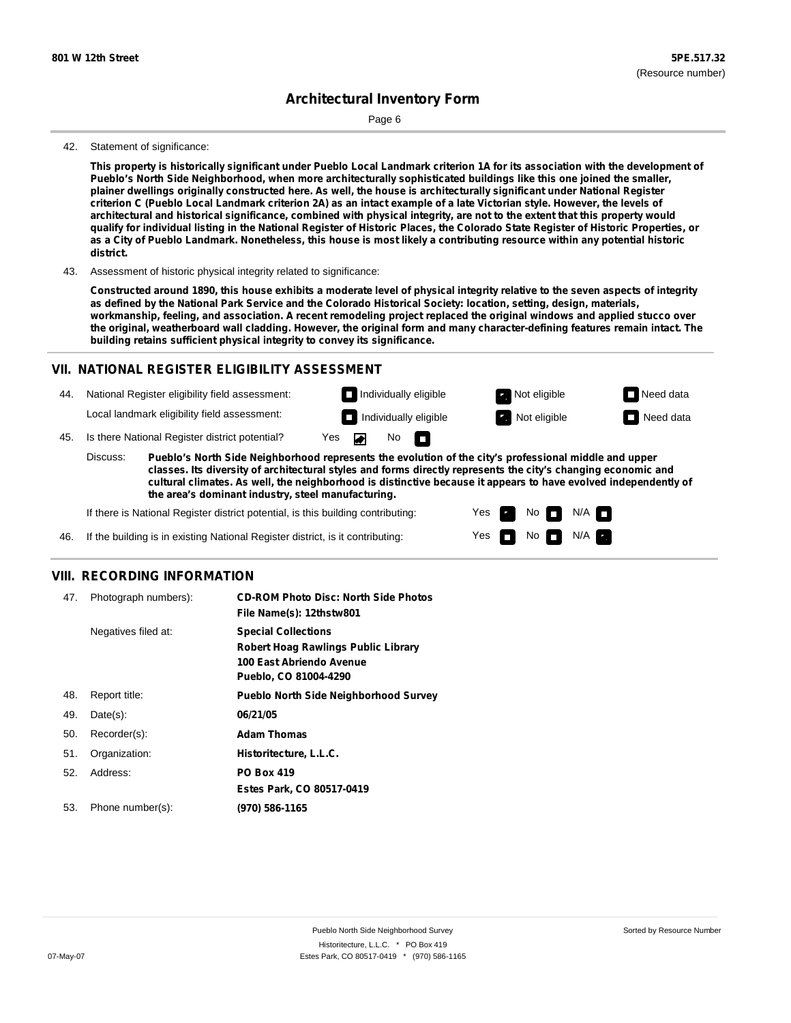Page 6

#### 42. Statement of significance:

This property is historically significant under Pueblo Local Landmark criterion 1A for its association with the development of **Pueblo's North Side Neighborhood, when more architecturally sophisticated buildings like this one joined the smaller,** plainer dwellings originally constructed here. As well, the house is architecturally significant under National Register criterion C (Pueblo Local Landmark criterion 2A) as an intact example of a late Victorian style. However, the levels of architectural and historical significance, combined with physical integrity, are not to the extent that this property would qualify for individual listing in the National Register of Historic Places, the Colorado State Register of Historic Properties, or as a City of Pueblo Landmark. Nonetheless, this house is most likely a contributing resource within any potential historic **district.**

43. Assessment of historic physical integrity related to significance:

Constructed around 1890, this house exhibits a moderate level of physical integrity relative to the seven aspects of integrity as defined by the National Park Service and the Colorado Historical Society: location, setting, design, materials, workmanship, feeling, and association. A recent remodeling project replaced the original windows and applied stucco over the original, weatherboard wall cladding. However, the original form and many character-defining features remain intact. The **building retains sufficient physical integrity to convey its significance.**

### **VII. NATIONAL REGISTER ELIGIBILITY ASSESSMENT**

44. National Register eligibility field assessment: Local landmark eligibility field assessment:

45. Is there National Register district potential? Yes  $\overline{\bullet}$ 

**Pueblo's North Side Neighborhood represents the evolution of the city's professional middle and upper classes. Its diversity of architectural styles and forms directly represents the city's changing economic and cultural climates. As well, the neighborhood is distinctive because it appears to have evolved independently of the area's dominant industry, steel manufacturing.** Discuss:

No

m

Yes Yes No

**Individually eligible Not eligible** Not eligible **Need data Individually eligible Not eligible** Not eligible **Need data** 

 $No$   $\neg$   $N/A$ 

 $N/A$ 

If there is National Register district potential, is this building contributing:

If the building is in existing National Register district, is it contributing: 46.

### **VIII. RECORDING INFORMATION**

| 47. | Photograph numbers): | <b>CD-ROM Photo Disc: North Side Photos</b><br>File Name(s): 12thstw801                                                       |
|-----|----------------------|-------------------------------------------------------------------------------------------------------------------------------|
|     | Negatives filed at:  | <b>Special Collections</b><br><b>Robert Hoag Rawlings Public Library</b><br>100 East Abriendo Avenue<br>Pueblo, CO 81004-4290 |
| 48. | Report title:        | <b>Pueblo North Side Neighborhood Survey</b>                                                                                  |
| 49. | $Date(s)$ :          | 06/21/05                                                                                                                      |
| 50. | Recorder(s):         | <b>Adam Thomas</b>                                                                                                            |
| 51. | Organization:        | Historitecture, L.L.C.                                                                                                        |
| 52. | Address:             | <b>PO Box 419</b>                                                                                                             |
|     |                      | Estes Park, CO 80517-0419                                                                                                     |
| 53. | Phone number(s):     | (970) 586-1165                                                                                                                |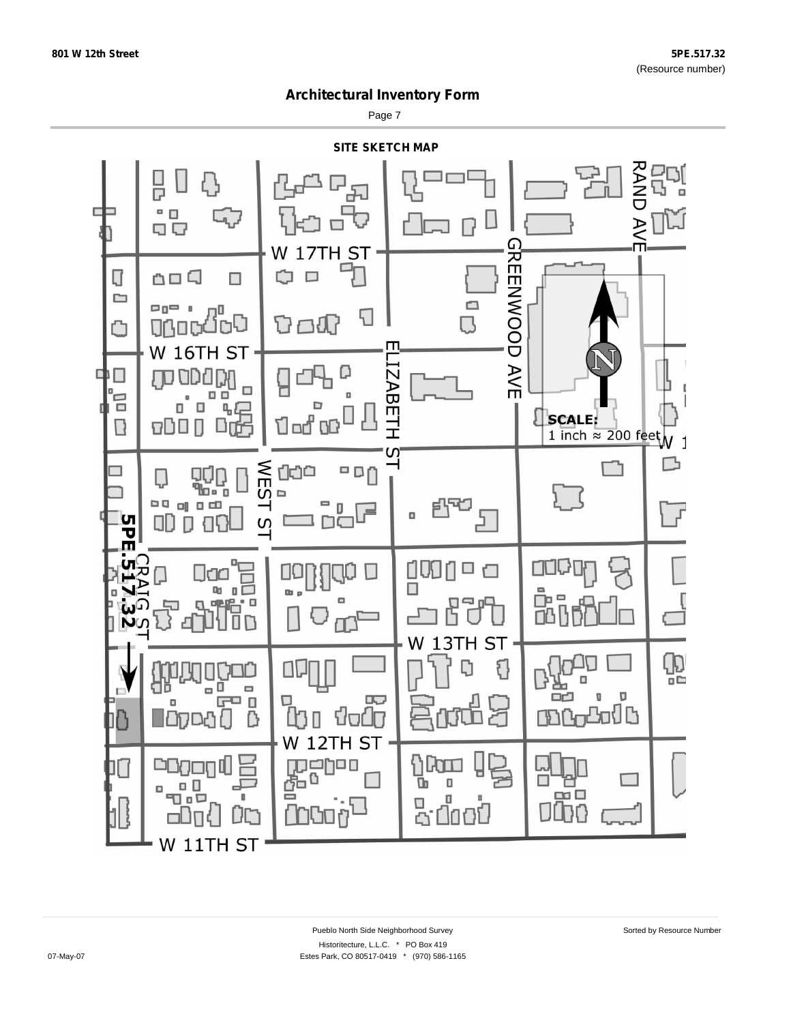Page 7